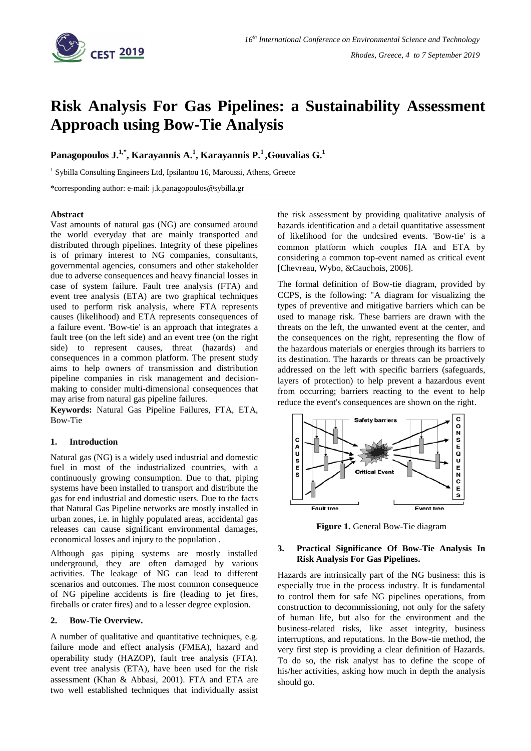

# **Risk Analysis For Gas Pipelines: a Sustainability Assessment Approach using Bow-Tie Analysis**

**Panagopoulos J. 1,\* , Karayannis A. 1 , Karayannis P. <sup>1</sup>,Gouvalias G. 1**

<sup>1</sup> Sybilla Consulting Engineers Ltd, Ipsilantou 16, Maroussi, Athens, Greece

\*corresponding author: e-mail: j.k.panagopoulos@sybilla.gr

#### **Abstract**

Vast amounts of natural gas (NG) are consumed around the world everyday that are mainly transported and distributed through pipelines. Integrity of these pipelines is of primary interest to NG companies, consultants, governmental agencies, consumers and other stakeholder due to adverse consequences and heavy financial losses in case of system failure. Fault tree analysis (FTA) and event tree analysis (ETA) are two graphical techniques used to perform risk analysis, where FTA represents causes (likelihood) and ETA represents consequences of a failure event. 'Bow-tie' is an approach that integrates a fault tree (on the left side) and an event tree (on the right side) to represent causes, threat (hazards) and consequences in a common platform. The present study aims to help owners of transmission and distribution pipeline companies in risk management and decisionmaking to consider multi-dimensional consequences that may arise from natural gas pipeline failures.

**Keywords:** Natural Gas Pipeline Failures, FTA, ETA, Bow-Tie

# **1. Introduction**

Natural gas (NG) is a widely used industrial and domestic fuel in most of the industrialized countries, with a continuously growing consumption. Due to that, piping systems have been installed to transport and distribute the gas for end industrial and domestic users. Due to the facts that Natural Gas Pipeline networks are mostly installed in urban zones, i.e. in highly populated areas, accidental gas releases can cause significant environmental damages, economical losses and injury to the population .

Although gas piping systems are mostly installed underground, they are often damaged by various activities. The leakage of NG can lead to different scenarios and outcomes. The most common consequence of NG pipeline accidents is fire (leading to jet fires, fireballs or crater fires) and to a lesser degree explosion.

### **2. Bow-Tie Overview.**

A number of qualitative and quantitative techniques, e.g. failure mode and effect analysis (FMEA), hazard and operability study (HAZOP), fault tree analysis (FTA). event tree analysis (ETA), have been used for the risk assessment (Khan & Abbasi, 2001). FTA and ETA are two well established techniques that individually assist

the risk assessment by providing qualitative analysis of hazards identification and a detail quantitative assessment of likelihood for the undcsired events. 'Bow-tie' is a common platform which couples IIA and ETA by considering a common top-event named as critical event [Chevreau, Wybo, &Cauchois, 2006].

The formal definition of Bow-tie diagram, provided by CCPS, is the following: "A diagram for visualizing the types of preventive and mitigative barriers which can be used to manage risk. These barriers are drawn with the threats on the left, the unwanted event at the center, and the consequences on the right, representing the flow of the hazardous materials or energies through its barriers to its destination. The hazards or threats can be proactively addressed on the left with specific barriers (safeguards, layers of protection) to help prevent a hazardous event from occurring; barriers reacting to the event to help reduce the event's consequences are shown on the right.



**Figure 1.** General Bow-Tie diagram

# **3. Practical Significance Of Bow-Tie Analysis In Risk Analysis For Gas Pipelines.**

Hazards are intrinsically part of the NG business: this is especially true in the process industry. It is fundamental to control them for safe NG pipelines operations, from construction to decommissioning, not only for the safety of human life, but also for the environment and the business-related risks, like asset integrity, business interruptions, and reputations. In the Bow-tie method, the very first step is providing a clear definition of Hazards. To do so, the risk analyst has to define the scope of his/her activities, asking how much in depth the analysis should go.